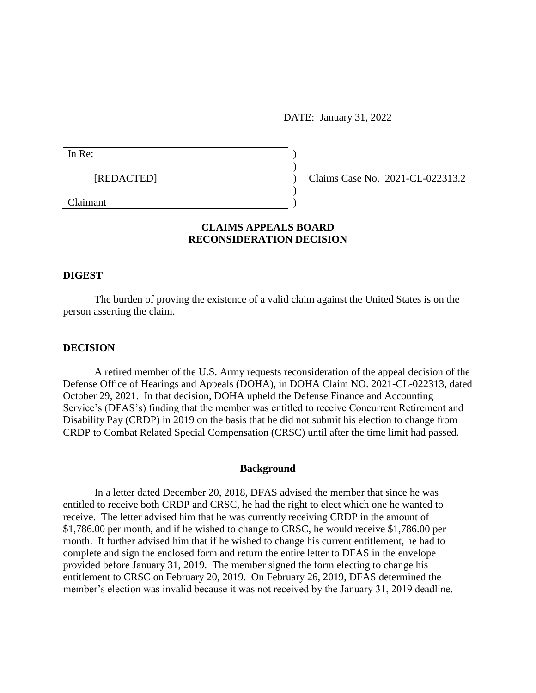DATE: January 31, 2022

| In Re:     |  |
|------------|--|
| [REDACTED] |  |
| Claimant   |  |

Claims Case No. 2021-CL-022313.2

# **CLAIMS APPEALS BOARD RECONSIDERATION DECISION**

### **DIGEST**

The burden of proving the existence of a valid claim against the United States is on the person asserting the claim.

#### **DECISION**

A retired member of the U.S. Army requests reconsideration of the appeal decision of the Defense Office of Hearings and Appeals (DOHA), in DOHA Claim NO. 2021-CL-022313, dated October 29, 2021. In that decision, DOHA upheld the Defense Finance and Accounting Service's (DFAS's) finding that the member was entitled to receive Concurrent Retirement and Disability Pay (CRDP) in 2019 on the basis that he did not submit his election to change from CRDP to Combat Related Special Compensation (CRSC) until after the time limit had passed.

### **Background**

In a letter dated December 20, 2018, DFAS advised the member that since he was entitled to receive both CRDP and CRSC, he had the right to elect which one he wanted to receive. The letter advised him that he was currently receiving CRDP in the amount of \$1,786.00 per month, and if he wished to change to CRSC, he would receive \$1,786.00 per month. It further advised him that if he wished to change his current entitlement, he had to complete and sign the enclosed form and return the entire letter to DFAS in the envelope provided before January 31, 2019. The member signed the form electing to change his entitlement to CRSC on February 20, 2019. On February 26, 2019, DFAS determined the member's election was invalid because it was not received by the January 31, 2019 deadline.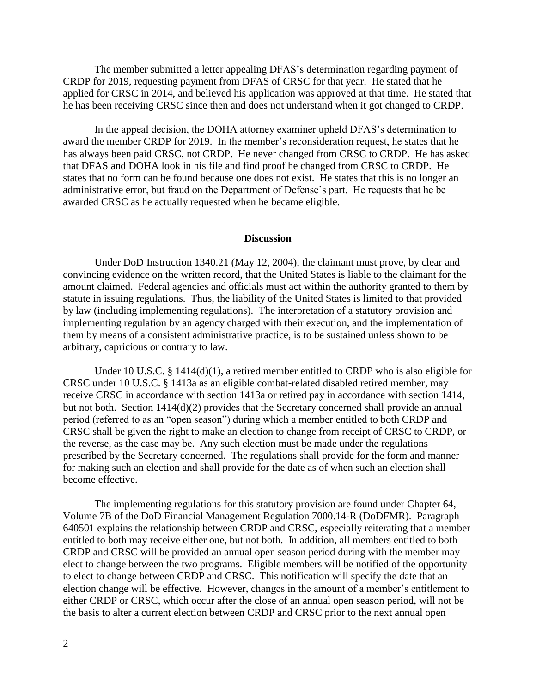The member submitted a letter appealing DFAS's determination regarding payment of CRDP for 2019, requesting payment from DFAS of CRSC for that year. He stated that he applied for CRSC in 2014, and believed his application was approved at that time. He stated that he has been receiving CRSC since then and does not understand when it got changed to CRDP.

In the appeal decision, the DOHA attorney examiner upheld DFAS's determination to award the member CRDP for 2019. In the member's reconsideration request, he states that he has always been paid CRSC, not CRDP. He never changed from CRSC to CRDP. He has asked that DFAS and DOHA look in his file and find proof he changed from CRSC to CRDP. He states that no form can be found because one does not exist. He states that this is no longer an administrative error, but fraud on the Department of Defense's part. He requests that he be awarded CRSC as he actually requested when he became eligible.

#### **Discussion**

Under DoD Instruction 1340.21 (May 12, 2004), the claimant must prove, by clear and convincing evidence on the written record, that the United States is liable to the claimant for the amount claimed. Federal agencies and officials must act within the authority granted to them by statute in issuing regulations. Thus, the liability of the United States is limited to that provided by law (including implementing regulations). The interpretation of a statutory provision and implementing regulation by an agency charged with their execution, and the implementation of them by means of a consistent administrative practice, is to be sustained unless shown to be arbitrary, capricious or contrary to law.

Under 10 U.S.C. § 1414(d)(1), a retired member entitled to CRDP who is also eligible for CRSC under 10 U.S.C. § 1413a as an eligible combat-related disabled retired member, may receive CRSC in accordance with section 1413a or retired pay in accordance with section 1414, but not both. Section 1414(d)(2) provides that the Secretary concerned shall provide an annual period (referred to as an "open season") during which a member entitled to both CRDP and CRSC shall be given the right to make an election to change from receipt of CRSC to CRDP, or the reverse, as the case may be. Any such election must be made under the regulations prescribed by the Secretary concerned. The regulations shall provide for the form and manner for making such an election and shall provide for the date as of when such an election shall become effective.

The implementing regulations for this statutory provision are found under Chapter 64, Volume 7B of the DoD Financial Management Regulation 7000.14-R (DoDFMR). Paragraph 640501 explains the relationship between CRDP and CRSC, especially reiterating that a member entitled to both may receive either one, but not both. In addition, all members entitled to both CRDP and CRSC will be provided an annual open season period during with the member may elect to change between the two programs. Eligible members will be notified of the opportunity to elect to change between CRDP and CRSC. This notification will specify the date that an election change will be effective. However, changes in the amount of a member's entitlement to either CRDP or CRSC, which occur after the close of an annual open season period, will not be the basis to alter a current election between CRDP and CRSC prior to the next annual open